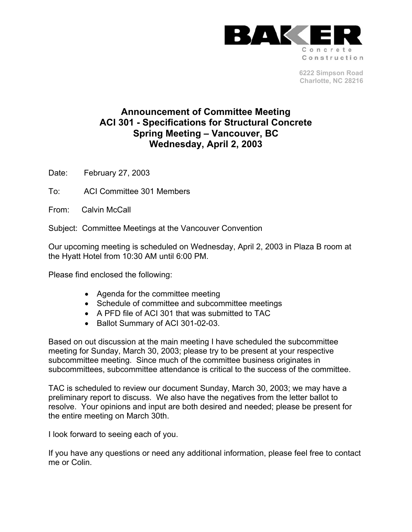

**6222 Simpson Road Charlotte, NC 28216** 

## **Announcement of Committee Meeting ACI 301 - Specifications for Structural Concrete Spring Meeting – Vancouver, BC Wednesday, April 2, 2003**

Date: February 27, 2003

To: ACI Committee 301 Members

From: Calvin McCall

Subject: Committee Meetings at the Vancouver Convention

Our upcoming meeting is scheduled on Wednesday, April 2, 2003 in Plaza B room at the Hyatt Hotel from 10:30 AM until 6:00 PM.

Please find enclosed the following:

- Agenda for the committee meeting
- Schedule of committee and subcommittee meetings
- A PFD file of ACI 301 that was submitted to TAC
- Ballot Summary of ACI 301-02-03.

Based on out discussion at the main meeting I have scheduled the subcommittee meeting for Sunday, March 30, 2003; please try to be present at your respective subcommittee meeting. Since much of the committee business originates in subcommittees, subcommittee attendance is critical to the success of the committee.

TAC is scheduled to review our document Sunday, March 30, 2003; we may have a preliminary report to discuss. We also have the negatives from the letter ballot to resolve. Your opinions and input are both desired and needed; please be present for the entire meeting on March 30th.

I look forward to seeing each of you.

If you have any questions or need any additional information, please feel free to contact me or Colin.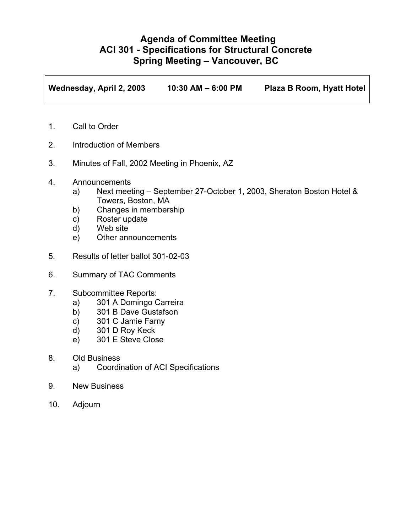## **Agenda of Committee Meeting ACI 301 - Specifications for Structural Concrete Spring Meeting – Vancouver, BC**

**Wednesday, April 2, 2003 10:30 AM – 6:00 PM Plaza B Room, Hyatt Hotel** 

- 1. Call to Order
- 2. Introduction of Members
- 3. Minutes of Fall, 2002 Meeting in Phoenix, AZ
- 4. Announcements
	- a) Next meeting September 27-October 1, 2003, Sheraton Boston Hotel & Towers, Boston, MA
	- b) Changes in membership
	- c) Roster update
	- d) Web site
	- e) Other announcements
- 5. Results of letter ballot 301-02-03
- 6. Summary of TAC Comments
- 7. Subcommittee Reports:
	- a) 301 A Domingo Carreira
	- b) 301 B Dave Gustafson
	- c) 301 C Jamie Farny
	- d) 301 D Roy Keck
	- e) 301 E Steve Close
- 8. Old Business
	- a) Coordination of ACI Specifications
- 9. New Business
- 10. Adjourn